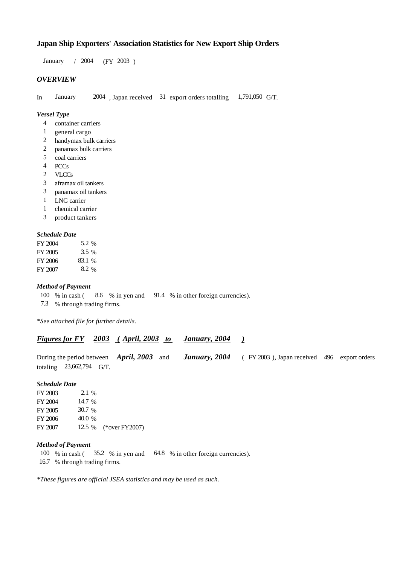# **Japan Ship Exporters' Association Statistics for New Export Ship Orders**

January / 2004 (FY 2003)

## *OVERVIEW*

In January 2004, Japan received 31 export orders totalling 1,791,050 G/T.

## *Vessel Type*

- container carriers 4
- general cargo 1
- handymax bulk carriers 2
- panamax bulk carriers 2
- coal carriers 5
- PCCs 4
- VLCCs 2
- aframax oil tankers 3
- panamax oil tankers 3
- LNG carrier 1
- chemical carrier 1
- product tankers 3

## *Schedule Date*

| FY 2004 | 5.2 %   |
|---------|---------|
| FY 2005 | $3.5\%$ |
| FY 2006 | 83.1 %  |
| FY 2007 | 8.2 %   |

### *Method of Payment*

- % in cash ( $\frac{8.6}{8}$  % in yen and  $\frac{91.4}{8}$  % in other foreign currencies). 100 % in cash (
- % through trading firms. 7.3

*\*See attached file for further details.*

|                            |                                                         | <b>Figures for FY</b> 2003 (April, 2003 to January, 2004) |                                                                  |  |
|----------------------------|---------------------------------------------------------|-----------------------------------------------------------|------------------------------------------------------------------|--|
|                            | During the period between $\rightarrow$ April, 2003 and |                                                           | <b>January, 2004</b> (FY 2003), Japan received 496 export orders |  |
| totaling $23,662,794$ G/T. |                                                         |                                                           |                                                                  |  |

#### *Schedule Date*

| FY 2003 | $2.1\%$ |                       |
|---------|---------|-----------------------|
| FY 2004 | 14.7 %  |                       |
| FY 2005 | 30.7%   |                       |
| FY 2006 | 40.0 %  |                       |
| FY 2007 |         | 12.5 % (*over FY2007) |

#### *Method of Payment*

- 100 % in cash (35.2 % in yen and 64.8 % in other foreign currencies).
- % through trading firms. 16.7

*\*These figures are official JSEA statistics and may be used as such.*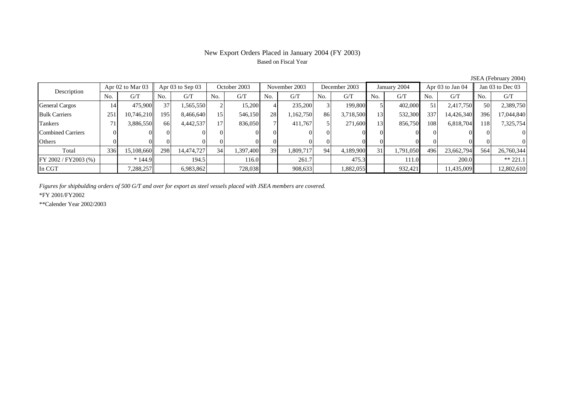# New Export Orders Placed in January 2004 (FY 2003) Based on Fiscal Year

| Description              | Apr 02 to Mar 03 |            | Apr $03$ to Sep $03$ |            | October 2003    |           | November 2003 |           | December 2003 |           | January 2004 |           | Apr 03 to Jan 04 |            | Jan 03 to Dec 03 |            |
|--------------------------|------------------|------------|----------------------|------------|-----------------|-----------|---------------|-----------|---------------|-----------|--------------|-----------|------------------|------------|------------------|------------|
|                          | No.              | G/T        | No.                  | G/T        | No.             | G/T       | No.           | G/T       | No.           | G/T       | No.          | G/T       | No.              | G/T        | No.              | G/T        |
| <b>General Cargos</b>    | 14               | 475,900    | 37                   | 1,565,550  |                 | 15.200    |               | 235,200   |               | 199,800   |              | 402,000   | 51               | 2,417,750  | 50               | 2,389,750  |
| <b>Bulk Carriers</b>     | 251              | 10,746,210 | 195                  | 8,466,640  | 15 <sub>l</sub> | 546,150   | 28            | ,162,750  | 86            | 3,718,500 | 13           | 532,300   | 337              | 14,426,340 | 396              | 17,044,840 |
| Tankers                  | 71               | 3,886,550  | 66                   | 4,442,537  | 17 <sub>l</sub> | 836,050   |               | 411.767   |               | 271,600   | 13           | 856,750   | 108              | 6,818,704  | 118 I            | 7,325,754  |
| <b>Combined Carriers</b> |                  |            | ∩∎                   |            |                 |           |               |           |               |           |              |           |                  |            |                  |            |
| Others                   |                  |            |                      |            |                 |           |               |           |               |           |              |           |                  |            |                  |            |
| Total                    | 336              | 15,108,660 | 298                  | 14,474,727 | 34              | 1,397,400 | 39            | 1,809,717 | 94            | 4,189,900 | 31           | 1,791,050 | 496              | 23,662,794 | 564              | 26,760,344 |
| $FY 2002 / FY 2003$ (%)  |                  | $*144.9$   |                      | 194.5      |                 | 116.0     |               | 261.7     |               | 475.3     |              | 111.0     |                  | 200.0      |                  | $** 221.1$ |
| In CGT                   |                  | 7,288,257  |                      | 6,983,862  |                 | 728,038   |               | 908,633   |               | 1,882,055 |              | 932,421   |                  | 11,435,009 |                  | 12,802,610 |

JSEA (February 2004)

*Figures for shipbulding orders of 500 G/T and over for export as steel vessels placed with JSEA members are covered.*

\*FY 2001/FY2002

\*\*Calender Year 2002/2003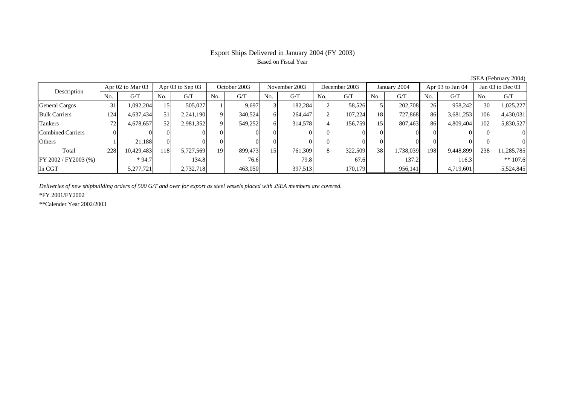# Export Ships Delivered in January 2004 (FY 2003) Based on Fiscal Year

| Description              | Apr 02 to Mar 03 |            | Apr $03$ to Sep $03$ |           | October 2003 |         | November 2003 |         | December 2003 |         | January 2004    |           | Apr 03 to Jan 04 |           | Jan 03 to Dec 03 |            |
|--------------------------|------------------|------------|----------------------|-----------|--------------|---------|---------------|---------|---------------|---------|-----------------|-----------|------------------|-----------|------------------|------------|
|                          | No.              | G/T        | No.                  | G/T       | No.          | G/T     | No.           | G/T     | No.           | G/T     | N <sub>0</sub>  | G/T       | N <sub>0</sub>   | G/T       | No.              | G/T        |
| <b>General Cargos</b>    | 31               | 1,092,204  |                      | 505,027   |              | 9,697   |               | 182,284 |               | 58,526  |                 | 202,708   | 26               | 958,242   | 30 <sup>l</sup>  | 1,025,227  |
| <b>Bulk Carriers</b>     | 124              | 4,637,434  | 51                   | 2,241,190 | $\Omega$     | 340,524 | ΩI            | 264,447 |               | 107,224 | 18              | 727.868   | 86               | 3,681,253 | 106              | 4,430,031  |
| Tankers                  | 72               | 4,678,657  | 52                   | 2,981,352 | $\Omega$     | 549,252 | 6             | 314,578 |               | 156,759 | 15 <sup>1</sup> | 807,463   | 86               | 4,809,404 | 102              | 5,830,527  |
| <b>Combined Carriers</b> |                  |            | 01                   |           |              |         |               |         |               |         | $_{0}$          |           |                  |           |                  | $\Omega$   |
| Others                   |                  | 21.188     |                      |           |              |         |               |         |               |         |                 |           |                  |           |                  | $\Omega$   |
| Total                    | 228              | 10,429,483 | 118                  | 5,727,569 | 19           | 899,473 | 15            | 761,309 |               | 322,509 | 38              | 1,738,039 | 198 <sup>1</sup> | 9,448,899 | 238              | 11,285,785 |
| $FY 2002 / FY 2003$ (%)  |                  | $*94.7$    |                      | 134.8     |              | 76.6    |               | 79.8    |               | 67.6    |                 | 137.2     |                  | 116.3     |                  | $** 107.6$ |
| In CGT                   |                  | 5,277,721  |                      | 2,732,718 |              | 463,050 |               | 397,513 |               | 170,179 |                 | 956,141   |                  | 4,719,601 |                  | 5,524,845  |

JSEA (February 2004)

*Deliveries of new shipbuilding orders of 500 G/T and over for export as steel vessels placed with JSEA members are covered.*

\*FY 2001/FY2002

\*\*Calender Year 2002/2003